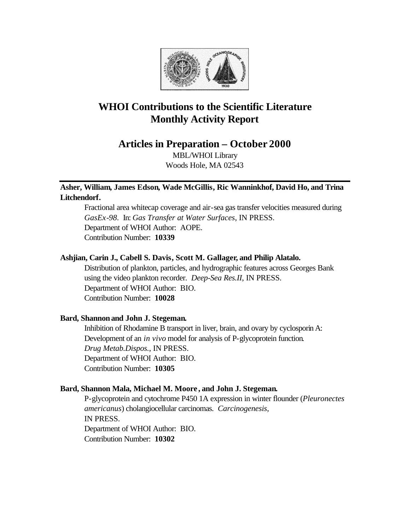

# **WHOI Contributions to the Scientific Literature Monthly Activity Report**

**Articles in Preparation – October 2000**

MBL/WHOI Library Woods Hole, MA 02543

# **Asher, William, James Edson, Wade McGillis, Ric Wanninkhof, David Ho, and Trina Litchendorf.**

Fractional area whitecap coverage and air-sea gas transfer velocities measured during *GasEx-98*. In: *Gas Transfer at Water Surfaces*, IN PRESS. Department of WHOI Author: AOPE. Contribution Number: **10339**

# **Ashjian, Carin J., Cabell S. Davis, Scott M. Gallager, and Philip Alatalo.**

Distribution of plankton, particles, and hydrographic features across Georges Bank using the video plankton recorder. *Deep-Sea Res.II*, IN PRESS. Department of WHOI Author: BIO. Contribution Number: **10028**

# **Bard, Shannon and John J. Stegeman.**

Inhibition of Rhodamine B transport in liver, brain, and ovary by cyclosporin A: Development of an *in vivo* model for analysis of P-glycoprotein function. *Drug Metab.Dispos.*, IN PRESS. Department of WHOI Author: BIO. Contribution Number: **10305**

# **Bard, Shannon Mala, Michael M. Moore , and John J. Stegeman.**

P-glycoprotein and cytochrome P450 1A expression in winter flounder (*Pleuronectes americanus*) cholangiocellular carcinomas. *Carcinogenesis*, IN PRESS. Department of WHOI Author: BIO. Contribution Number: **10302**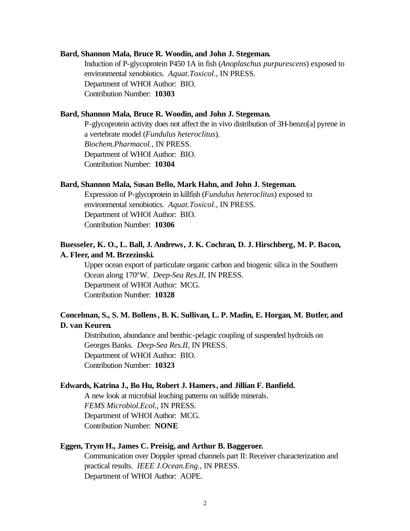#### **Bard, Shannon Mala, Bruce R. Woodin, and John J. Stegeman.**

Induction of P-glycoprotein P450 1A in fish (*Anoplaschus purpurescens*) exposed to environmental xenobiotics. *Aquat.Toxicol.*, IN PRESS. Department of WHOI Author: BIO. Contribution Number: **10303**

### **Bard, Shannon Mala, Bruce R. Woodin, and John J. Stegeman.**

P-glycoprotein activity does not affect the in vivo distribution of 3H-benzo[a] pyrene in a vertebrate model (*Fundulus heteroclitus*). *Biochem.Pharmacol.*, IN PRESS. Department of WHOI Author: BIO. Contribution Number: **10304**

### **Bard, Shannon Mala, Susan Bello, Mark Hahn, and John J. Stegeman.**

Expression of P-glycoprotein in killfish (*Fundulus heteroclitus*) exposed to environmental xenobiotics. *Aquat.Toxicol.*, IN PRESS. Department of WHOI Author: BIO. Contribution Number: **10306**

# **Buesseler, K. O., L. Ball, J. Andrews, J. K. Cochran, D. J. Hirschberg, M. P. Bacon, A. Fleer, and M. Brzezinski.**

Upper ocean export of particulate organic carbon and biogenic silica in the Southern Ocean along 170ºW. *Deep-Sea Res.II*, IN PRESS. Department of WHOI Author: MCG. Contribution Number: **10328**

# **Concelman, S., S. M. Bollens, B. K. Sullivan, L. P. Madin, E. Horgan, M. Butler, and D. van Keuren.**

Distribution, abundance and benthic-pelagic coupling of suspended hydroids on Georges Banks. *Deep-Sea Res.II*, IN PRESS. Department of WHOI Author: BIO. Contribution Number: **10323**

#### **Edwards, Katrina J., Bo Hu, Robert J. Hamers, and Jillian F. Banfield.**

A new look at microbial leaching patterns on sulfide minerals. *FEMS Microbiol.Ecol.*, IN PRESS. Department of WHOI Author: MCG. Contribution Number: **NONE**

# **Eggen, Trym H., James C. Preisig, and Arthur B. Baggeroer.**

Communication over Doppler spread channels part II: Receiver characterization and practical results. *IEEE J.Ocean.Eng.*, IN PRESS. Department of WHOI Author: AOPE.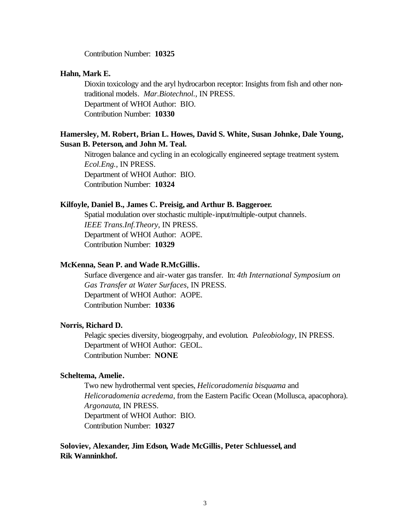Contribution Number: **10325**

#### **Hahn, Mark E.**

Dioxin toxicology and the aryl hydrocarbon receptor: Insights from fish and other nontraditional models. *Mar.Biotechnol.*, IN PRESS. Department of WHOI Author: BIO. Contribution Number: **10330**

# **Hamersley, M. Robert, Brian L. Howes, David S. White, Susan Johnke, Dale Young, Susan B. Peterson, and John M. Teal.**

Nitrogen balance and cycling in an ecologically engineered septage treatment system. *Ecol.Eng.*, IN PRESS. Department of WHOI Author: BIO. Contribution Number: **10324**

# **Kilfoyle, Daniel B., James C. Preisig, and Arthur B. Baggeroer.**

Spatial modulation over stochastic multiple-input/multiple-output channels. *IEEE Trans.Inf.Theory*, IN PRESS. Department of WHOI Author: AOPE. Contribution Number: **10329**

# **McKenna, Sean P. and Wade R.McGillis.**

Surface divergence and air-water gas transfer. In: *4th International Symposium on Gas Transfer at Water Surfaces*, IN PRESS. Department of WHOI Author: AOPE. Contribution Number: **10336**

# **Norris, Richard D.**

Pelagic species diversity, biogeogrpahy, and evolution. *Paleobiology*, IN PRESS. Department of WHOI Author: GEOL. Contribution Number: **NONE**

# **Scheltema, Amelie.**

Two new hydrothermal vent species, *Helicoradomenia bisquama* and *Helicoradomenia acredema*, from the Eastern Pacific Ocean (Mollusca, apacophora). *Argonauta*, IN PRESS. Department of WHOI Author: BIO. Contribution Number: **10327**

# **Soloviev, Alexander, Jim Edson, Wade McGillis, Peter Schluessel, and Rik Wanninkhof.**